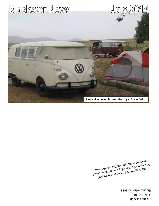Arizona Bus Club **PO Box 65001** Phoenix Arizona 85082

<sup>5</sup>JzuguA ni gniqms) 107 znoitegggue ynA<br><sup>Si</sup>lq 9910dmsl 9dt ytibilo<sub>2 tau</sub>.<br><sup>Yon</sup> adtaom i 1910 Eznald ve jus bujdmes in the start of the state of the state of the state of the state of the state of the sta<br>Ewan shinom sidt ni zoqyt yng at bluone you? Rumate Jote suh thoor in type visus that .  $\lambda$  $\frac{1}{2}$  shows,  $\frac{1}{2}$  in  $\frac{1}{2}$  supersection is the James plans?  $P$ 

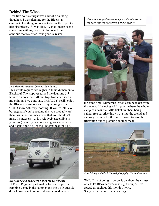# Behind The Wheel...

...for five hours straight was a bit of a daunting thought as I was planning for the Blackstar campout. The thing to do was to break the trip into bite size pieces, if I was able. By that I mean spend some time with my cousin in Indio and then continue the trek after I was good & rested.



It looked like someone lying on their back…..

This would require two nights in Indio & then on to Blackstar! The stopover turned the daunting 5.5 hour trip into a mere 70 min trip. Not a bad idea in my opinion. I've gotta say, I REALLY, really enjoy the Blackstar campout and I enjoy going to the OCTO show Saturday morning. If you're into VW buses,(and if you're reading this you probably are) then this is the summer venue that you shouldn't miss. Its inexpensive, it's relatively accessible in your bus (even if you're not using your relatives) and it gets you OUT of the Phoenix heat for a bit.



2014 Raffle bus holding its own on the CA highway. El Prado Regional park makes for such a pleasant camping venue in the summer and the VTO guys & dolls know how to relax and host a good event at

'Circle the Wagen' narrators Ryan & Charlie explain the four year wait to retrieve their 'Star '74'.



the same time. Numerous lessons can be taken from this event. Like using a PA system where the whole camp can hear the raffle ticket numbers being called, free surprise thrown out into the crowd and catering a dinner for the entire crowd to take the frustration out of planning another meal.



David & Angie Butler's 'Smedley' enjoying the cool weather.

Well, I'm not going to go on  $&$  on about the virtues of VTO's Blackstar weekend right now, as I've spread throughout this month's news. See you on the inevitable last page!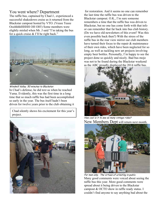## You went where? Department

The raffle bus, captained by Chad J., experienced a successful shakedown cruise as it returned from the Blackstar campout hosted by VTO. (Veeee Teeee OoohhhhHHHH OH OH!) Some members were slightly misled when Mr. J said "I'm taking the bus for a quick cruise & I'll be right back."



Windmill Valley. 50 minutes to Blackstar. In Chad's defense, he did text us when he reached Yuma. Evidently, this was the first time in a long time that so much raffle bus had been accomplished so early in the year. The bus itself hadn't been driven for twelve years prior to the club obtaining it

Chad silently shows his excitement for this year's project.



 for restoration. And it seems no one can remember the last time the raffle bus was driven to the Blackstar campout. O.K., I'm sure someone remembers a time that the raffle bus was driven to Blackstar, but no one has come forth with that info or can remember that far back into bus club history. (Do we have old newsletters of this event? Was this even possible back then?) With the stress of the raffle bus in the rear view mirror our club members have turned their focus to the repair & maintenance of their own rides, which have been neglected for so long, as well as tackling new art projects involving empty beer bottles. Personally, I'm happy to see the project done so quickly and nicely. Bad bus mojo was not to be found during the Blackstar weekend as the ABC proudly displayed the 2014 raffle bus.



How cool is it to see so many vintage rides? New Members Dept will return next month.



For men only. The virtues of urinating in public. Many good comments were voiced about seeing the raffle bus this year. More good comments were spread about it being driven to the Blackstar campout & OCTO show in raffle ready status. I couldn't find anyone to say anything bad about the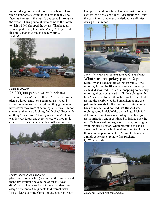interior design or the exterior paint scheme. This year's Jamboree is going to be host to many new faces as interest in this year's bus spread throughout the event. Thank you to all who came to the booth to visit while I shopped the swaps. Thanks to all who helped Chad, Jeremiah, Mindy & Roy to put this bus together to make it road worthy. DDFD!



Planet Volkswagen.

## 25,000,000 problems at Blackstar

…but my bus ain't one of them. You can't have a picnic without ants... or a campout as it would seem. I was amazed at everything they got into and how clever they were at sourcing out....yea, I'm not sure what they were looking for. Dishes? Bags with clothing? Plasticware? Card games? Beer? There was interest for an ant everywhere. We thought it clever to distract the ants with an offering of food



Exactly where is the men's room?

placed next to their hill (or crack in the ground) and then they wouldn't have to go as far to... yeah, didn't work. There are lots of them that they can assign different ant regiments to different tasks. Lesson learned: bring Comet(or ant bait) next year.

Dump it around your tires, tent, campsite, coolers, carpets, dog beds, chair legs. Essentially we'll turn the park into that winter wonderland we all miss during the summer.



Donut Club & Police in the same strip mall. Coincidence? What was that pokey plant? Dept Man! I wish I had a photo of this on but.... One morning during the Blackstar weekend I was up early & discovered Richard K. snapping some early morning photos on a nearby hill. I caught up with him & we went for a little nature walk which took us into the nearby woods. Somewhere along the path in the woods I felt a burning sensation on the back of my calf and noticed that Richard was rubbing some invisible bite on his legs. Rich  $& 1$ determined that it was local foliage that had given us the irritation and it continued to irritate over the next 24 hours with no signs of redness, bruising or swelling like a poison. Upon returning to have a closer look on that which held my attention I saw no thorns on the plant or spikes. More like fine silk strands covering extremely fine prickers. Q: What was it?



Check the rack on this trailer queen!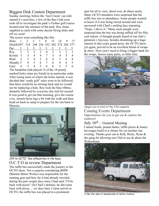## Biggest Disk Contest Department

Sunday morning, before the 'Just Crusin' car club started it's activities, a few of the Bus Club crew took off to investigate the park's Frisbee golf course located near the entrance of the park. Roy Jonas supplied us each with some decent flying disks and off we went!

The scores went something like this:

| Hole:                                       |               | 2              | $\mathcal{E}$  |                | 8  | 13 | 14            |   |               |
|---------------------------------------------|---------------|----------------|----------------|----------------|----|----|---------------|---|---------------|
| Dist(ft)297 314 248 256 352 302 274 284 277 |               |                |                |                |    |    |               |   |               |
| Par:                                        |               | 3 <sup>7</sup> | 3              |                | 3  | 3  |               |   |               |
| Roy                                         | $\mathcal{E}$ | $\mathcal{E}$  | $\overline{3}$ | 2              | 4  | 3  | 3             | 3 | $\mathcal{R}$ |
| Kristin                                     | 5             | 5              | $\overline{4}$ | $\overline{4}$ |    | 5. | 4             |   |               |
| <b>Brad</b>                                 |               | 3              | 4              | 3              | 6. | 4  | $\mathcal{R}$ | 4 | 4             |
| Murphy 5                                    |               | 4              | 5              | 4              |    | 6  | 4             |   |               |
| Gary                                        | 4             |                | 4              | $\rightarrow$  | 6  | 6  |               |   | 6             |
|                                             |               |                | $\sim$         |                |    |    |               |   |               |

The breakfast club played 15 of the 18 poorly marked holes (nine are listed) in no particular order. After losing track of where the holes started, it was decided that 'ready golf' rules were to be followed, that there would be no turning back and we would not be replaying a hole. Roy took the blue ribbon, distantly followed by everyone else tied for second. It was good to get out that morning, give the course a try, stretch those legs a bit with the walk and then head on back to camp to prepare for the run back to Phoenix.



### Off to OCTO. Two silhouettes in the haze. O.C.T.O in review Department

The raffle bus successfully made the journey to the OCTO show. Not a surprise considering BMW (Burnite Motor Works) was responsible for the running gear and how far it had already traveled during the past couple days since Chad said 'I'll be back with pizza!' (In Chad's defense, he did come back with pizza,… six days later.) Upon arrival at OCTO, the raffle bus was placed in a prominent

spot for all to view, drool over, & abuse easily. Many OCTO attendees were surprised that the raffle bus was in attendance. Some people wanted to know if it was being towed around and were answered with Chad's smiling face repeating "Nope, I drove it." Many more people were surprised that the bus was being raffled off for fifty cent tickets. (I thought people heard of our club's gimmick.) Anyway, besides drumming up a huge interest in this years grand prize, the OCTO show, yet again, proved to be an excellent blend of swaps & show. Next year I need to bring a bigger bank for the swaps. Soooo many parts, so little time.



Hangin' out in front of the VTO campsite. Coming Events Department Opportunities for you to get out  $&$  explore the outdoors!

#### July  $16<sup>th</sup>$  – General Meeting

Canned foods, peanut butter, raffle prizes & foamy beverages build to a climax for yet another fun evening. Thanks goes out to Kirk, Ricky, Ryan & the gang for allowing our Club to use & abuse the Walterdome.



I like the idea of doublecabs & Helite trailers.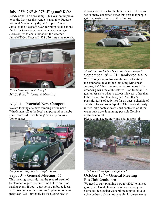July  $25^{th}$ ,  $26^{th}$  &  $27^{th}$  -Flagstaff KOA

Ready or not, here we kamp! This year could prove to be the last year this venue is available. Prepare for wind & rain every day at 2:30pm. Contact Janyel at the Flagstaff KOA for more details about field trips to try local brew pubs, visit new age stores or just to chat a bit about the weather. Janyel@KOA Flagstaff: 928-526-nine nine two six.



If he's there, then who's driving? August  $20<sup>th</sup>$  General Meeting

August – Potential New Campout

We are looking at a new camping venue near Winkleman AZ at the local campground or maybe some more Salt river tubing! Stock up on your Tonto passes!



Sorry, it was the green that caught my eye. Sept 10<sup>th</sup> - General Meeting!!! This meeting occurs during the **second week** of September to give us some time before our fund raising event. If you've got some Jamboree ideas, we'd love to hear them and we'll plan to do them next year. We'll probably be discussing how to

decorate our buses for the light parade. I'd like to see so many decorated buses this year that people get tired seeing them roll thru the line.



 A taste of Just Crusin's Sunday car show in the park. September  $19<sup>th</sup> - 21<sup>st</sup>$  Jamboree XXIV We're not going to disclose the secret location of the Jamboree held at the Gold King Mine near Jerome, AZ. This is to ensure that someone truly deserving wins the club restored 1966 Sundial. No guarantees as to what to expect this year, other than to have more fun than last year. As if that's possible. Lot's of activities for all ages. Schedule of events to follow soon. Spoiler: Chili contest, Daily raffles, bike contest, wet t-shirt contest is on if the water tank truck is running, possible Zombie costume contest.

Please drink accordingly and plan responsibly.



Which side of the logs can we park on? October  $15<sup>th</sup>$  – General Meeting Bus Club Nominations

We need to start planning now for 2015 to have a good year. Good choices make for a good year. Come to the October General meeting to let your voice be heard about how you think someone else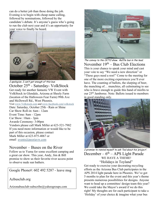can do a better job than those doing the job. Evening is to begin with cheap name calling, followed by nominations, followed by the candidate's debate. It's anyone's guess who's going to run the club next year and it's an opportunity for your voice to finally be heard.



I apologize. I can't get enough of this bus. October 25th - Saturday- VolkStock Get ready for another fantastic VW Event with VolkStock in Glendale, Arizona at Sheely Farm (location of the Halloween Fear Farm) 99th Ave and McDowell Rd., West Phoenix. Visit www.Volkstock.com and www.facebook.com/volkstock Date: Saturday, October 25th - Rain or Shine Car Show Roll-in: 6am - 12am Event Time: 8am - 12pm Car Show: 10am - 3pm Awards Ceremony: 3:00pm Vendors please call Mark Miller at 623-521-7982 If you need more information or would like to be part of this occasion, please contact Mark Miller at 623-875-4067 or email events@peoriavw.com

#### November – Buses on the River

Follow us to Yuma for some excellent camping and a great car show. This year, Andy, Jim & Bill promise to show us their favorite river access point to observe nude sun bathers.

Google Phone#: 602 492 5287 - leave msg

Azbusclub.org

Arizonabusclub-subscribe@yahoogroups.com



The convoy to the OCTO show. Raffle bus in the lead. November  $19<sup>th</sup> - Bus Club Electronics$ This is your chance to speak your mind and cast your vote to say "We need a new direction" or "These guys need a rest!" Come to the meeting for one of the more exciting experiences you'll ever have. The counting of ballots, the slurping of beer, the munching of… munchies, all culminating to see who is brave enough to guide this band of misfits to our 25th Jamboree. Note: Ballots issued to members in good standing only.



I promise to remind myself to ask Ted about his 'project'. December –  $6<sup>th</sup>$  – APS Light Parade<br>WE HAVE A THEME! "Holidays in Toyland"

Get ready to exercise your decorating recycling efforts as the Arizona Bus Club participates in the APS 2014 light parade here in Phoenix. We've got 5 months to plan for the event and this year's theme presents numerous possibilities for designs. Anyone want to head up a committee/ design team this year? We could take the Mayor's award if we do this right! My thoughts are for each participant to take a 'Holiday' of your choice & imagine what your bus